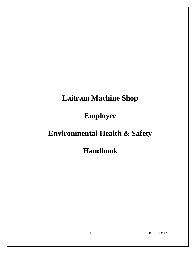# **Laitram Machine Shop**

# **Employee**

# **Environmental Health & Safety**

**Handbook**

1 Revised 03/2020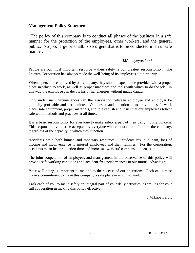#### **Management Policy Statement**

"The policy of this company is to conduct all phases of the business in a safe manner for the protection of the employees, other workers, and the general public. No job, large or small, is so urgent that is to be conducted in an unsafe manner."

#### - J.M. Lapeyre, 1987

People are our most important resource – their safety is our greatest responsibility. The Laitram Corporation has always made the well-being of its employees a top priority.

When a person is employed by our company, they should expect to be provided with a proper place in which to work, as well as proper machines and tools with which to do the job. In this way the employee can devote his or her energies without undue danger.

Only under such circumstances can the association between employee and employer be mutually profitable and harmonious. Our desire and intention is to provide a safe work place, safe equipment, proper materials, and to establish and insist that our employees follow safe work methods and practices at all times.

It is a basic responsibility for everyone to make safety a part of their daily, hourly concern. This responsibility must be accepted by everyone who conducts the affairs of the company, regardless of the capacity in which they function.

Accidents drain both human and monetary resources. Accidents result in pain, loss of income and inconvenience to injured employees and their families. For the corporation, accidents mean lost production time and increased workers' compensation costs.

The joint cooperation of employees and management in the observance of this policy will provide safe working conditions and accident-free performances to our mutual advantage.

Your well-being is important to me and to the success of our operations. Each of us must make a commitment to make this company a safe place in which to work.

I ask each of you to make safety an integral part of your daily activities, as well as for your full cooperation in making this policy effective.

J.M.Lapeyre, Jr.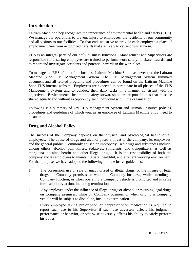#### **Introduction**

Laitram Machine Shop recognizes the importance of environmental health and safety (EHS). We manage our operations to prevent injury to employees, the residents of our community and all visitors to our facilities. To that end, we strive to provide each employee a place of employment free from recognized hazards that are likely to cause physical harm.

EHS is an integral parts of our daily business functions. Management and Supervisors are responsible for ensuring employees are trained to perform work safely, to abate hazards, and to report and investigate accidents and potential hazards in the workplace.

To manage the EHS affairs of the business Laitram Machine Shop has developed the Laitram Machine Shop EHS Management System. The EHS Management System summary document and all related programs and procedures can be found on the Laitram Machine Shop EHS internal website. Employees are expected to participate in all phases of the EHS Management System and to conduct their daily tasks in a manner consistent with its objectives. Environmental health and safety stewardships are responsibilities that must be shared equally and without exception by each individual within the organization.

Following is a summary of key EHS Management System and Human Resource policies, procedures and guidelines of which you, as an employee of Laitram Machine Shop, need to be aware.

#### **Drug and Alcohol Policy**

The success of the Company depends on the physical and psychological health of all employees. The abuse of drugs and alcohol poses a threat to the company, its employees, and the general public. Commonly abused or improperly used drugs and substances include, among others, alcohol, pain killers, sedatives, stimulants, and tranquilizers, as well as marijuana, cocaine, heroin and other illegal drugs. It is the responsibility of both the company and its employees to maintain a safe, healthful, and efficient working environment. For that purpose, we have adopted the following non-exclusive guidelines:

- 1. The possession, use or sale of unauthorized or illegal drugs, or the misuse of legal drugs on Company premises or while on Company business, while attending a Company function, or when operating a Company vehicle is prohibited and is cause for disciplinary action, including termination.
- 2. Any employee under the influence of illegal drugs or alcohol or misusing legal drugs on Company premises, while on Company business or when driving a Company vehicle will be subject to discipline, including termination.
- 3. Every employee taking prescription or nonprescription medication is required to report such use to his Supervisor if such use adversely affects his judgment, performance or behavior, or otherwise adversely affects his ability to safely perform his duties.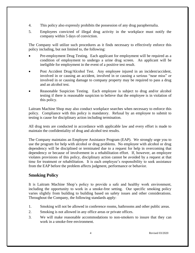- 4. This policy also expressly prohibits the possession of any drug paraphernalia.
- 5. Employees convicted of illegal drug activity in the workplace must notify the company within 5 days of conviction.

The Company will utilize such procedures as it finds necessary to effectively enforce this policy including, but not limited to, the following:

- Pre-employment Drug Testing. Each applicant for employment will be required as a condition of employment to undergo a urine drug screen. An applicant will be ineligible for employment in the event of a positive test result.
- Post Accident Drug/Alcohol Test. Any employee injured in an incident/accident, involved in or causing an accident, involved in or causing a serious "near miss" or involved in or causing damage to company property may be required to pass a drug and an alcohol test.
- Reasonable Suspicion Testing. Each employee is subject to drug and/or alcohol testing if there is reasonable suspicion to believe that the employee is in violation of this policy.

Laitram Machine Shop may also conduct workplace searches when necessary to enforce this policy. Compliance with this policy is mandatory. Refusal by an employee to submit to testing is cause for disciplinary action including termination.

All drug tests are conducted in accordance with applicable law and every effort is made to maintain the confidentiality of drug and alcohol test results.

The Company maintains an Employee Assistance Program (EAP). We strongly urge you to use the program for help with alcohol or drug problems. No employee with alcohol or drug dependency will be disciplined or terminated due to a request for help in overcoming that dependency or because of involvement in a rehabilitation effort. If, however, an employee violates provisions of this policy, disciplinary action cannot be avoided by a request at that time for treatment or rehabilitation. It is each employee's responsibility to seek assistance from the EAP before the problem affects judgment, performance or behavior.

# **Smoking Policy**

It is Laitram Machine Shop's policy to provide a safe and healthy work environment, including the opportunity to work in a smoke-free setting. Our specific smoking policy varies slightly from building to building based on safety issues and other considerations. Throughout the Company, the following standards apply:

- 1. Smoking will not be allowed in conference rooms, bathrooms and other public areas.
- 2. Smoking is not allowed in any office areas or private offices.
- 3. We will make reasonable accommodations to non-smokers to insure that they can work in a smoke-free environment.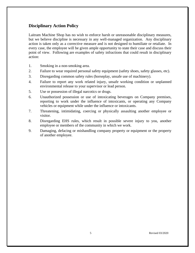# **Disciplinary Action Policy**

Laitram Machine Shop has no wish to enforce harsh or unreasonable disciplinary measures, but we believe discipline is necessary in any well-managed organization. Any disciplinary action is taken only as a corrective measure and is not designed to humiliate or retaliate. In every case, the employee will be given ample opportunity to state their case and discuss their point of view. Following are examples of safety infractions that could result in disciplinary action:

- 1. Smoking in a non-smoking area.
- 2. Failure to wear required personal safety equipment (safety shoes, safety glasses, etc).
- 3. Disregarding common safety rules (horseplay, unsafe use of machinery).
- 4. Failure to report any work related injury, unsafe working condition or unplanned environmental release to your supervisor or lead person.
- 5. Use or possession of illegal narcotics or drugs.
- 6. Unauthorized possession or use of intoxicating beverages on Company premises, reporting to work under the influence of intoxicants, or operating any Company vehicles or equipment while under the influence or intoxicants.
- 7. Threatening, intimidating, coercing or physically assaulting another employee or visitor.
- 8. Disregarding EHS rules, which result in possible severe injury to you, another employee or members of the community in which we work.
- 9. Damaging, defacing or mishandling company property or equipment or the property of another employee.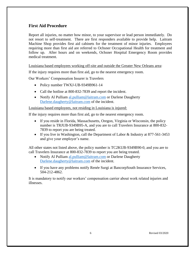## **First Aid Procedure**

Report all injuries, no matter how minor, to your supervisor or lead person immediately. Do not resort to self-treatment. There are first responders available to provide help. Laitram Machine Shop provides first aid cabinets for the treatment of minor injuries. Employees requiring more than first aid are referred to Ochsner Occupational Health for treatment and follow up. After hours and on weekends, Ochsner Hospital Emergency Room provides medical treatment.

Louisiana based employees working off-site and outside the Greater New Orleans area:

If the injury requires more than first aid, go to the nearest emergency room.

Our Workers' Compensation Insurer is Travelers

- Policy number TWXJ-UB-9349B961-14
- Call the hotline at 800-832-7839 and report the incident.
- Notify Al Pulliam [al.pulliam@laitram.com](mailto:al.pulliam@laitram.com) or Darlene Daugherty [Darlene.daugherty@laitram.com](mailto:Darlene.daugherty@laitram.com) of the incident.

Louisiana based employees, not residing in Louisiana is injured:

If the injury requires more than first aid, go to the nearest emergency room.

- If you reside in Florida, Massachusetts, Oregon, Virginia or Wisconsin, the policy number is TRJUB-9349B95-A, and you are to call Travelers Insurance at 800-832- 7839 to report you are being treated.
- If you live in Washington, call the Department of Labor & Industry at 877-561-3453 and give your employer's name.

All other states not listed above, the policy number is TC2KUB-9349B90-0, and you are to call Travelers Insurance at 800-832-7839 to report you are being treated.

- Notify Al Pulliam [al.pulliam@laitram.com](mailto:al.pulliam@laitram.com) or Darlene Daugherty [Darlene.daugherty@laitram.com](mailto:Darlene.daugherty@laitram.com) of the incident.
- If you have any problems notify Renée Surgi at BancorpSouth Insurance Services, 504-212-4862.

It is mandatory to notify our workers' compensation carrier about work related injuries and illnesses.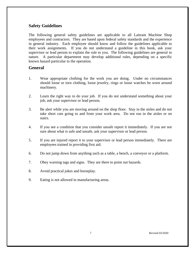# **Safety Guidelines**

The following general safety guidelines are applicable to all Laitram Machine Shop employees and contractors. They are based upon federal safety standards and the experience in general industry. Each employee should know and follow the guidelines applicable to their work assignments. If you do not understand a guideline in this book, ask your supervisor or lead person to explain the rule to you. The following guidelines are general in nature. A particular department may develop additional rules, depending on a specific known hazard particular to the operation.

#### **General**

- 1. Wear appropriate clothing for the work you are doing. Under no circumstances should loose or torn clothing, loose jewelry, rings or loose watches be worn around machinery.
- 2. Learn the right way to do your job. If you do not understand something about your job, ask your supervisor or lead person.
- 3. Be alert while you are moving around on the shop floor. Stay in the aisles and do not take short cuts going to and from your work area. Do not run in the aisles or on stairs.
- 4. If you see a condition that you consider unsafe report it immediately. If you are not sure about what is safe and unsafe, ask your supervisor or lead person.
- 5. If you are injured report it to your supervisor or lead person immediately. There are employees trained in providing first aid.
- 6. Do not jump down from anything such as a table, a bench, a conveyor or a platform.
- 7. Obey warning tags and signs. They are there to point out hazards.
- 8. Avoid practical jokes and horseplay.
- 9. Eating is not allowed in manufacturing areas.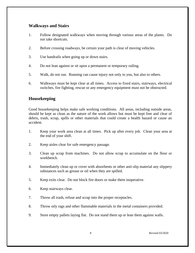#### **Walkways and Stairs**

- 1. Follow designated walkways when moving through various areas of the plants. Do not take shortcuts.
- 2. Before crossing roadways, be certain your path is clear of moving vehicles.
- 3. Use handrails when going up or down stairs.
- 4. Do not lean against or sit upon a permanent or temporary railing.
- 5. Walk, do not run. Running can cause injury not only to you, but also to others.
- 6. Walkways must be kept clear at all times. Access to fixed stairs, stairways, electrical switches, fire fighting, rescue or any emergency equipment must not be obstructed.

# **Housekeeping**

Good housekeeping helps make safe working conditions. All areas, including outside areas, should be kept as clean as the nature of the work allows but must be kept free and clear of debris, trash, scrap, spills or other materials that could create a health hazard or cause an accident.

- 1. Keep your work area clean at all times. Pick up after every job. Clean your area at the end of your shift.
- 2. Keep aisles clear for safe emergency passage.
- 3. Clean up scrap from machines. Do not allow scrap to accumulate on the floor or workbench.
- 4. Immediately clean up or cover with absorbents or other anti-slip material any slippery substances such as grease or oil when they are spilled.
- 5. Keep exits clear. Do not block fire doors or make them inoperative.
- 6. Keep stairways clear.
- 7. Throw all trash, refuse and scrap into the proper receptacles.
- 8. Throw oily rags and other flammable materials in the metal containers provided.
- 9. Store empty pallets laying flat. Do not stand them up or lean them against walls.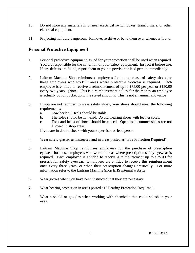- 10. Do not store any materials in or near electrical switch boxes, transformers, or other electrical equipment.
- 11. Projecting nails are dangerous. Remove, re-drive or bend them over whenever found.

## **Personal Protective Equipment**

- 1. Personal protective equipment issued for your protection shall be used when required. You are responsible for the condition of your safety equipment. Inspect it before use. If any defects are found, report them to your supervisor or lead person immediately.
- 2. Laitram Machine Shop reimburses employees for the purchase of safety shoes for those employees who work in areas where protective footwear is required. Each employee is entitled to receive a reimbursement of up to \$75.00 per year or \$150.00 every two years. (Note: This is a reimbursement policy for the money an employee is actually out of pocket up to the stated amounts. This is not an annual allowance).
- 3. If you are not required to wear safety shoes, your shoes should meet the following requirements:
	- a. Low heeled. Heels should be stable.
	- b. The soles should be non-skid. Avoid wearing shoes with leather soles.
	- c. Toes and heels of shoes should be closed. Open-toed summer shoes are not allowed in shop areas.

If you are in doubt, check with your supervisor or lead person.

- 4. Wear safety glasses as instructed and in areas posted as "Eye Protection Required".
- 5. Laitram Machine Shop reimburses employees for the purchase of prescription eyewear for those employees who work in areas where prescription safety eyewear is required. Each employee is entitled to receive a reimbursement up to \$75.00 for prescription safety eyewear. Employees are entitled to receive this reimbursement once every three years, or when their prescription changes drastically. For more information refer to the Laitram Machine Shop EHS internal website.
- 6. Wear gloves when you have been instructed that they are necessary.
- 7. Wear hearing protection in areas posted as "Hearing Protection Required".
- 8. Wear a shield or goggles when working with chemicals that could splash in your eyes.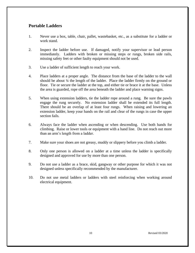# **Portable Ladders**

- 1. Never use a box, table, chair, pallet, wastebasket, etc., as a substitute for a ladder or work stand.
- 2. Inspect the ladder before use. If damaged, notify your supervisor or lead person immediately. Ladders with broken or missing steps or rungs, broken side rails, missing safety feet or other faulty equipment should not be used.
- 3. Use a ladder of sufficient length to reach your work.
- 4. Place ladders at a proper angle. The distance from the base of the ladder to the wall should be about  $\frac{1}{4}$  the length of the ladder. Place the ladder firmly on the ground or floor. Tie or secure the ladder at the top, and either tie or brace it at the base. Unless the area is guarded, rope off the area beneath the ladder and place warning signs.
- 5. When using extension ladders, tie the ladder rope around a rung. Be sure the pawls engage the rung securely. No extension ladder shall be extended its full length. There should be an overlap of at least four rungs. When raising and lowering an extension ladder, keep your hands on the rail and clear of the rungs in case the upper section fails.
- 6. Always face the ladder when ascending or when descending. Use both hands for climbing. Raise or lower tools or equipment with a hand line. Do not reach out more than an arm's length from a ladder.
- 7. Make sure your shoes are not greasy, muddy or slippery before you climb a ladder.
- 8. Only one person is allowed on a ladder at a time unless the ladder is specifically designed and approved for use by more than one person.
- 9. Do not use a ladder as a brace, skid, gangway or other purpose for which it was not designed unless specifically recommended by the manufacturer.
- 10. Do not use metal ladders or ladders with steel reinforcing when working around electrical equipment.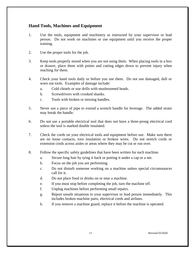## **Hand Tools, Machines and Equipment**

- 1. Use the tools, equipment and machinery as instructed by your supervisor or lead person. Do not work on machines or use equipment until you receive the proper training.
- 2. Use the proper tools for the job.
- 3. Keep tools properly stored when you are not using them. When placing tools in a box or drawer, place them with points and cutting edges down to prevent injury when reaching for them.
- 4. Check your hand tools daily or before you use them. Do not use damaged, dull or worn out tools. Examples of damage include:
	- a. Cold chisels or star drills with mushroomed heads.
	- b. Screwdrivers with crooked shanks.
	- c. Tools with broken or missing handles.
- 5. Never use a piece of pipe to extend a wrench handle for leverage. The added strain may break the handle.
- 6. Do not use a portable electrical tool that does not have a three-prong electrical cord unless the tool is marked double insulated.
- 7. Check the cords on your electrical tools and equipment before use. Make sure there are no loose contacts, torn insulation or broken wires. Do not stretch cords or extension cords across aisles or areas where they may be cut or run over.
- 8. Follow the specific safety guidelines that have been written for each machine.
	- a. Secure long hair by tying it back or putting it under a cap or a net.
	- b. Focus on the job you are performing.
	- c. Do not disturb someone working on a machine unless special circumstances call for it.
	- d. Do not place food or drinks on or near a machine.
	- e. If you must stop before completing the job, turn the machine off.
	- f. Unplug machines before performing small repairs.
	- g. Report unsafe situations to your supervisor or lead person immediately. This includes broken machine parts, electrical cords and airlines.
	- h. If you remove a machine guard, replace it before the machine is operated.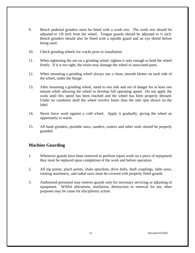- 9. Bench pedestal grinders must be fitted with a work rest. The work rest should be adjusted to  $1/8$  inch from the wheel. Tongue guards should be adjusted to  $\frac{1}{4}$  inch. Bench grinders should also be fitted with a spindle guard and an eye shield before being used.
- 10. Check grinding wheels for cracks prior to installation.
- 11. When tightening the nut on a grinding wheel, tighten it only enough to hold the wheel firmly. If it is too tight, the strain may damage the wheel or associated parts.
- 12. When mounting a grinding wheel always use a clean, smooth blotter on each side of the wheel, under the flange.
- 13. After mounting a grinding wheel, stand to one side and out of danger for at least one minute while allowing the wheel to develop full operating speed. Do not apply the work until this speed has been reached and the wheel has been properly dressed. Under no condition shall the wheel revolve faster than the safe rpm shown on the label.
- 14. Never force work against a cold wheel. Apply it gradually, giving the wheel an opportunity to warm.
- 15. All hand grinders, portable saws, sanders, routers and other tools should be properly guarded.

# **Machine Guarding**

- 1. Whenever guards have been removed to perform repair work on a piece of equipment they must be replaced upon completion of the work and before operation.
- 2. All nip points, pinch points, chain sprockets, drive belts, shaft couplings, table saws, rotating machinery, and radial saws must be covered with properly fitted guards.
- 3. Authorized personnel may remove guards only for necessary servicing or adjusting of equipment. Willful alterations, mutilation, destruction or removal for any other purposes may be cause for disciplinary action.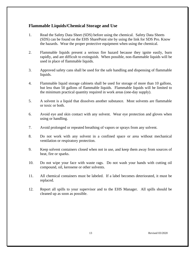#### **Flammable Liquids/Chemical Storage and Use**

- 1. Read the Safety Data Sheet (SDS) before using the chemical. Safety Data Sheets (SDS) can be found on the EHS SharePoint site by using the link for SDS Pro. Know the hazards. Wear the proper protective equipment when using the chemical.
- 2. Flammable liquids present a serious fire hazard because they ignite easily, burn rapidly, and are difficult to extinguish. When possible, non-flammable liquids will be used in place of flammable liquids.
- 3. Approved safety cans shall be used for the safe handling and dispensing of flammable liquids.
- 4. Flammable liquid storage cabinets shall be used for storage of more than 10 gallons, but less than 50 gallons of flammable liquids. Flammable liquids will be limited to the minimum practical quantity required in work areas (one-day supply).
- 5. A solvent is a liquid that dissolves another substance. Most solvents are flammable or toxic or both.
- 6. Avoid eye and skin contact with any solvent. Wear eye protection and gloves when using or handling.
- 7. Avoid prolonged or repeated breathing of vapors or sprays from any solvent.
- 8. Do not work with any solvent in a confined space or area without mechanical ventilation or respiratory protection.
- 9. Keep solvent containers closed when not in use, and keep them away from sources of heat, fire or sparks.
- 10. Do not wipe your face with waste rags. Do not wash your hands with cutting oil compound, oil, kerosene or other solvents.
- 11. All chemical containers must be labeled. If a label becomes deteriorated, it must be replaced.
- 12. Report all spills to your supervisor and to the EHS Manager. All spills should be cleaned up as soon as possible.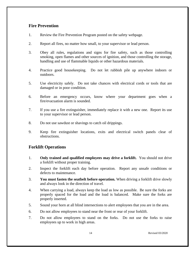## **Fire Prevention**

- 1. Review the Fire Prevention Program posted on the safety webpage.
- 2. Report all fires, no matter how small, to your supervisor or lead person.
- 3. Obey all rules, regulations and signs for fire safety, such as those controlling smoking, open flames and other sources of ignition, and those controlling the storage, handling and use of flammable liquids or other hazardous materials.
- 4. Practice good housekeeping. Do not let rubbish pile up anywhere indoors or outdoors.
- 5. Use electricity safely. Do not take chances with electrical cords or tools that are damaged or in poor condition.
- 6. Before an emergency occurs, know where your department goes when a fire/evacuation alarm is sounded.
- 7. If you use a fire extinguisher, immediately replace it with a new one. Report its use to your supervisor or lead person.
- 8. Do not use sawdust or shavings to catch oil drippings.
- 9. Keep fire extinguisher locations, exits and electrical switch panels clear of obstructions.

# **Forklift Operations**

- 1. **Only trained and qualified employees may drive a forklift.** You should not drive a forklift without proper training.
- 2. Inspect the forklift each day before operation. Report any unsafe conditions or defects to maintenance.
- 3. **You must fasten the seatbelt before operation.** When driving a forklift drive slowly and always look in the direction of travel.
- 4. When carrying a load, always keep the load as low as possible. Be sure the forks are properly spaced for the load and the load is balanced. Make sure the forks are properly inserted.
- 5. Sound your horn at all blind intersections to alert employees that you are in the area.
- 6. Do not allow employees to stand near the front or rear of your forklift.
- 7. Do not allow employees to stand on the forks. Do not use the forks to raise employees up to work in high areas.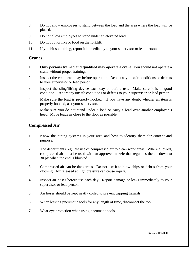- 8. Do not allow employees to stand between the load and the area where the load will be placed.
- 9. Do not allow employees to stand under an elevated load.
- 10. Do not put drinks or food on the forklift.
- 11. If you hit something, report it immediately to your supervisor or lead person.

#### **Cranes**

- 1. **Only persons trained and qualified may operate a crane**. You should not operate a crane without proper training.
- 2. Inspect the crane each day before operation. Report any unsafe conditions or defects to your supervisor or lead person.
- 3. Inspect the sling/lifting device each day or before use. Make sure it is in good condition. Report any unsafe conditions or defects to your supervisor or lead person.
- 4. Make sure the load is properly hooked. If you have any doubt whether an item is properly hooked, ask your supervisor.
- 5. Make sure you do not stand under a load or carry a load over another employee's head. Move loads as close to the floor as possible.

# **Compressed Air**

- 1. Know the piping systems in your area and how to identify them for content and purpose.
- 2. The departments regulate use of compressed air to clean work areas. Where allowed, compressed air must be used with an approved nozzle that regulates the air down to 30 psi when the end is blocked.
- 3. Compressed air can be dangerous. Do not use it to blow chips or debris from your clothing. Air released at high pressure can cause injury.
- 4. Inspect air hoses before use each day. Report damage or leaks immediately to your supervisor or lead person.
- 5. Air hoses should be kept neatly coiled to prevent tripping hazards.
- 6. When leaving pneumatic tools for any length of time, disconnect the tool.
- 7. Wear eye protection when using pneumatic tools.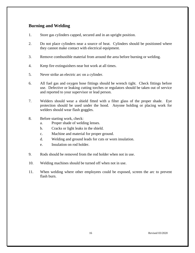## **Burning and Welding**

- 1. Store gas cylinders capped, secured and in an upright position.
- 2. Do not place cylinders near a source of heat. Cylinders should be positioned where they cannot make contact with electrical equipment.
- 3. Remove combustible material from around the area before burning or welding.
- 4. Keep fire extinguishers near hot work at all times.
- 5. Never strike an electric arc on a cylinder.
- 6. All fuel gas and oxygen hose fittings should be wrench tight. Check fittings before use. Defective or leaking cutting torches or regulators should be taken out of service and reported to your supervisor or lead person.
- 7. Welders should wear a shield fitted with a filter glass of the proper shade. Eye protection should be used under the hood. Anyone holding or placing work for welders should wear flash goggles.
- 8. Before starting work, check:
	- a. Proper shade of welding lenses.
	- b. Cracks or light leaks in the shield.
	- c. Machine and material for proper ground.
	- d. Welding and ground leads for cuts or worn insulation.
	- e. Insulation on rod holder.
- 9. Rods should be removed from the rod holder when not in use.
- 10. Welding machines should be turned off when not in use.
- 11. When welding where other employees could be exposed, screen the arc to prevent flash burn.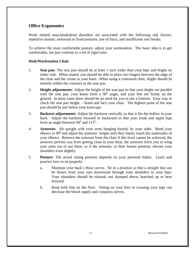## **Office Ergonomics**

Work related musculoskeletal disorders are associated with the following risk factors: repetitive motion, awkward or fixed postures, use of force, and insufficient rest breaks.

To achieve the most comfortable posture, adjust your workstation. The basic idea is to get comfortable, not just conform to a set of rigid rules.

#### **Desk/Workstation Chair**

- 1. **Seat pan**: The seat pan should be at least 1 inch wider than your hips and thighs on either side. When seated, you should be able to place two fingers between the edge of the chair and the crease in your knee. When using a contoured chair, thighs should fit entirely within the contours or the seat pan.
- 2. **Height adjustments**: Adjust the height of the seat pan so that your thighs are parallel with the seat pan, your knees form a  $90^0$  angle, and your feet are firmly on the ground. In most cases there should be no need for you to use a footrest. Easy way to check the seat pan height – Stand and face your chair. The highest point of the seat pan should be just below your kneecaps.
- 3. **Backrest adjustments**: Adjust the backrest vertically so that it fits the hollow in your back. Adjust the backrest forward or backward so that your trunk and upper legs form an angle between  $94^0$  and  $115^0$ .
- 4. **Armrests**: Sit upright with your arms hanging loosely by your sides. Bend your elbows to  $90^0$  and adjust the armrests' height until they barely touch the undersides of your elbows. Remove the armrests from the chair if this level cannot be achieved, the armrests prevent you from getting close to your desk, the armrests force you to wing your arms out to use them, or if the armrests, in their lowest position, elevate your shoulders even slightly.
- 5. **Posture**: The actual sitting position depends on your personal habits. Learn and practice how to sit properly.
	- a. Maintain your back's three curves. Sit in a position so that a straight line can be drawn from your ears downward through your shoulders to your hips. Your shoulders should be relaxed, not slumped down, hunched up or bent forward.
	- b. Keep both feet on the floor. Sitting on your foot or crossing your legs can decrease the blood supply and compress nerves.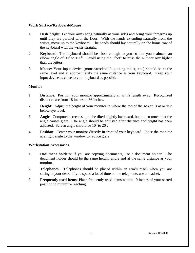#### **Work Surface/Keyboard/Mouse**

- 1. **Desk height**: Let your arms hang naturally at your sides and bring your forearms up until they are parallel with the floor. With the hands extending naturally from the wrists, move up to the keyboard. The hands should lay naturally on the home row of the keyboard with the wrists straight.
- 2. **Keyboard**: The keyboard should be close enough to you so that you maintain an elbow angle of  $90^0$  to  $100^0$ . Avoid using the "feet" to raise the number row higher than the letters.
- 3. **Mouse**: Your input device (mouse/trackball/digitizing tablet, etc.) should be at the same level and at approximately the same distance as your keyboard. Keep your input device as close to your keyboard as possible.

#### **Monitor**

- 1. **Distance:** Position your monitor approximately an arm's length away. Recognized distances are from 18 inches to 36 inches.
- 2. **Height**: Adjust the height of your monitor to where the top of the screen is at or just below eye level.
- 3. **Angle**: Computer screens should be tilted slightly backward, but not so much that the angle causes glare. The angle should be adjusted after distance and height has been adjusted. Screen angle should be  $10^0$  to  $20^0$ .
- 4. **Position**: Center your monitor directly in front of your keyboard. Place the monitor at a right angle to the window to reduce glare.

#### **Workstation Accessories**

- 1. **Document holders**: If you are copying documents, use a document holder. The document holder should be the same height, angle and at the same distance as your monitor.
- 2. **Telephones**: Telephones should be placed within an arm's reach when you are sitting at your desk. If you spend a lot of time on the telephone, use a headset.
- 3. **Frequently used items**: Place frequently used items within 10 inches of your seated position to minimize reaching.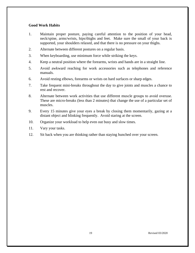#### **Good Work Habits**

- 1. Maintain proper posture, paying careful attention to the position of your head, neck/spine, arms/wrists, hips/thighs and feet. Make sure the small of your back is supported, your shoulders relaxed, and that there is no pressure on your thighs.
- 2. Alternate between different postures on a regular basis.
- 3. When keyboarding, use minimum force while striking the keys.
- 4. Keep a neutral position where the forearms, wrists and hands are in a straight line.
- 5. Avoid awkward reaching for work accessories such as telephones and reference manuals.
- 6. Avoid resting elbows, forearms or wrists on hard surfaces or sharp edges.
- 7. Take frequent mini-breaks throughout the day to give joints and muscles a chance to rest and recover.
- 8. Alternate between work activities that use different muscle groups to avoid overuse. These are micro-breaks (less than 2 minutes) that change the use of a particular set of muscles.
- 9. Every 15 minutes give your eyes a break by closing them momentarily, gazing at a distant object and blinking frequently. Avoid staring at the screen.
- 10. Organize your workload to help even out busy and slow times.
- 11. Vary your tasks.
- 12. Sit back when you are thinking rather than staying hunched over your screen.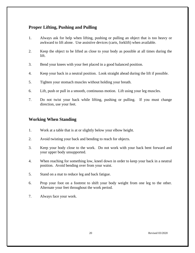# **Proper Lifting, Pushing and Pulling**

- 1. Always ask for help when lifting, pushing or pulling an object that is too heavy or awkward to lift alone. Use assistive devices (carts, forklift) when available.
- 2. Keep the object to be lifted as close to your body as possible at all times during the lift.
- 3. Bend your knees with your feet placed in a good balanced position.
- 4. Keep your back in a neutral position. Look straight ahead during the lift if possible.
- 5. Tighten your stomach muscles without holding your breath.
- 6. Lift, push or pull in a smooth, continuous motion. Lift using your leg muscles.
- 7. Do not twist your back while lifting, pushing or pulling. If you must change direction, use your feet.

## **Working When Standing**

- 1. Work at a table that is at or slightly below your elbow height.
- 2. Avoid twisting your back and bending to reach for objects.
- 3. Keep your body close to the work. Do not work with your back bent forward and your upper body unsupported.
- 4. When reaching for something low, kneel down in order to keep your back in a neutral position. Avoid bending over from your waist.
- 5. Stand on a mat to reduce leg and back fatigue.
- 6. Prop your foot on a footrest to shift your body weight from one leg to the other. Alternate your feet throughout the work period.
- 7. Always face your work.